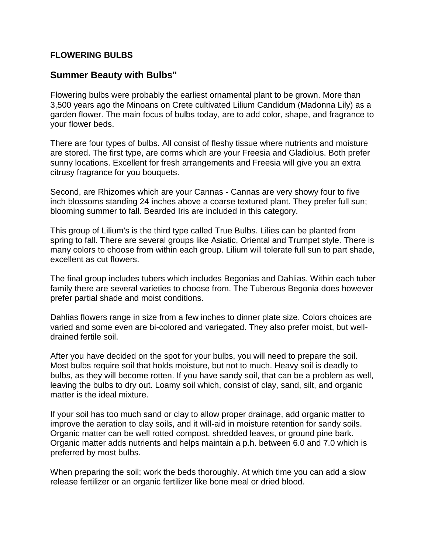## **FLOWERING BULBS**

## **Summer Beauty with Bulbs"**

Flowering bulbs were probably the earliest ornamental plant to be grown. More than 3,500 years ago the Minoans on Crete cultivated Lilium Candidum (Madonna Lily) as a garden flower. The main focus of bulbs today, are to add color, shape, and fragrance to your flower beds.

There are four types of bulbs. All consist of fleshy tissue where nutrients and moisture are stored. The first type, are corms which are your Freesia and Gladiolus. Both prefer sunny locations. Excellent for fresh arrangements and Freesia will give you an extra citrusy fragrance for you bouquets.

Second, are Rhizomes which are your Cannas - Cannas are very showy four to five inch blossoms standing 24 inches above a coarse textured plant. They prefer full sun; blooming summer to fall. Bearded Iris are included in this category.

This group of Lilium's is the third type called True Bulbs. Lilies can be planted from spring to fall. There are several groups like Asiatic, Oriental and Trumpet style. There is many colors to choose from within each group. Lilium will tolerate full sun to part shade, excellent as cut flowers.

The final group includes tubers which includes Begonias and Dahlias. Within each tuber family there are several varieties to choose from. The Tuberous Begonia does however prefer partial shade and moist conditions.

Dahlias flowers range in size from a few inches to dinner plate size. Colors choices are varied and some even are bi-colored and variegated. They also prefer moist, but welldrained fertile soil.

After you have decided on the spot for your bulbs, you will need to prepare the soil. Most bulbs require soil that holds moisture, but not to much. Heavy soil is deadly to bulbs, as they will become rotten. If you have sandy soil, that can be a problem as well, leaving the bulbs to dry out. Loamy soil which, consist of clay, sand, silt, and organic matter is the ideal mixture.

If your soil has too much sand or clay to allow proper drainage, add organic matter to improve the aeration to clay soils, and it will-aid in moisture retention for sandy soils. Organic matter can be well rotted compost, shredded leaves, or ground pine bark. Organic matter adds nutrients and helps maintain a p.h. between 6.0 and 7.0 which is preferred by most bulbs.

When preparing the soil; work the beds thoroughly. At which time you can add a slow release fertilizer or an organic fertilizer like bone meal or dried blood.